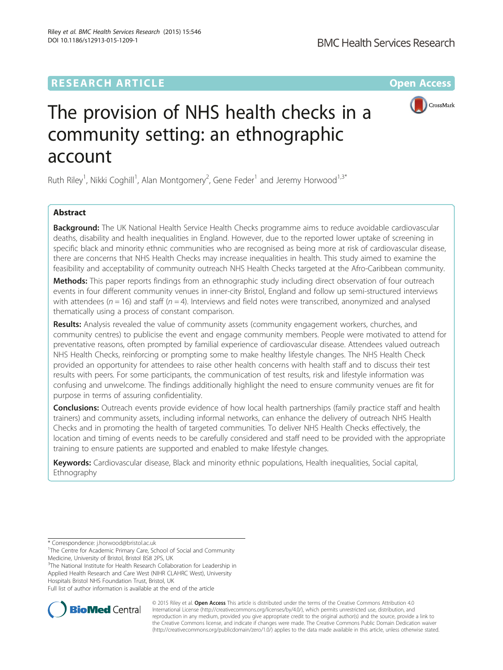# **RESEARCH ARTICLE Example 2014 12:30 The Contract of Contract ACCESS**

# The provision of NHS health checks in a community setting: an ethnographic account

Ruth Riley<sup>1</sup>, Nikki Coghill<sup>1</sup>, Alan Montgomery<sup>2</sup>, Gene Feder<sup>1</sup> and Jeremy Horwood<sup>1,3\*</sup>

## Abstract

Background: The UK National Health Service Health Checks programme aims to reduce avoidable cardiovascular deaths, disability and health inequalities in England. However, due to the reported lower uptake of screening in specific black and minority ethnic communities who are recognised as being more at risk of cardiovascular disease, there are concerns that NHS Health Checks may increase inequalities in health. This study aimed to examine the feasibility and acceptability of community outreach NHS Health Checks targeted at the Afro-Caribbean community.

**Methods:** This paper reports findings from an ethnographic study including direct observation of four outreach events in four different community venues in inner-city Bristol, England and follow up semi-structured interviews with attendees ( $n = 16$ ) and staff ( $n = 4$ ). Interviews and field notes were transcribed, anonymized and analysed thematically using a process of constant comparison.

Results: Analysis revealed the value of community assets (community engagement workers, churches, and community centres) to publicise the event and engage community members. People were motivated to attend for preventative reasons, often prompted by familial experience of cardiovascular disease. Attendees valued outreach NHS Health Checks, reinforcing or prompting some to make healthy lifestyle changes. The NHS Health Check provided an opportunity for attendees to raise other health concerns with health staff and to discuss their test results with peers. For some participants, the communication of test results, risk and lifestyle information was confusing and unwelcome. The findings additionally highlight the need to ensure community venues are fit for purpose in terms of assuring confidentiality.

**Conclusions:** Outreach events provide evidence of how local health partnerships (family practice staff and health trainers) and community assets, including informal networks, can enhance the delivery of outreach NHS Health Checks and in promoting the health of targeted communities. To deliver NHS Health Checks effectively, the location and timing of events needs to be carefully considered and staff need to be provided with the appropriate training to ensure patients are supported and enabled to make lifestyle changes.

Keywords: Cardiovascular disease, Black and minority ethnic populations, Health inequalities, Social capital, Ethnography

\* Correspondence: [j.horwood@bristol.ac.uk](mailto:j.horwood@bristol.ac.uk) <sup>1</sup>

<sup>1</sup>The Centre for Academic Primary Care, School of Social and Community Medicine, University of Bristol, Bristol BS8 2PS, UK

<sup>3</sup>The National Institute for Health Research Collaboration for Leadership in Applied Health Research and Care West (NIHR CLAHRC West), University Hospitals Bristol NHS Foundation Trust, Bristol, UK

Full list of author information is available at the end of the article





CrossMark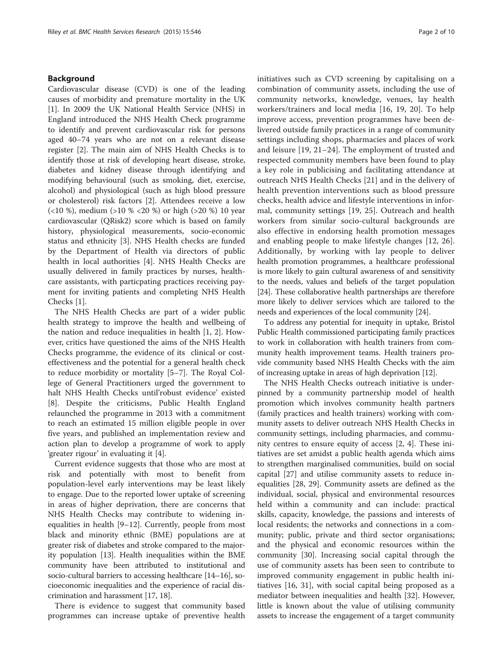#### Background

Cardiovascular disease (CVD) is one of the leading causes of morbidity and premature mortality in the UK [[1\]](#page-9-0). In 2009 the UK National Health Service (NHS) in England introduced the NHS Health Check programme to identify and prevent cardiovascular risk for persons aged 40–74 years who are not on a relevant disease register [\[2](#page-9-0)]. The main aim of NHS Health Checks is to identify those at risk of developing heart disease, stroke, diabetes and kidney disease through identifying and modifying behavioural (such as smoking, diet, exercise, alcohol) and physiological (such as high blood pressure or cholesterol) risk factors [\[2](#page-9-0)]. Attendees receive a low (<10 %), medium (>10 % <20 %) or high (>20 %) 10 year cardiovascular (QRisk2) score which is based on family history, physiological measurements, socio-economic status and ethnicity [\[3](#page-9-0)]. NHS Health checks are funded by the Department of Health via directors of public health in local authorities [\[4\]](#page-9-0). NHS Health Checks are usually delivered in family practices by nurses, healthcare assistants, with particpating practices receiving payment for inviting patients and completing NHS Health Checks [\[1](#page-9-0)].

The NHS Health Checks are part of a wider public health strategy to improve the health and wellbeing of the nation and reduce inequalities in health [[1](#page-9-0), [2\]](#page-9-0). However, critics have questioned the aims of the NHS Health Checks programme, the evidence of its clinical or costeffectiveness and the potential for a general health check to reduce morbidity or mortality [\[5](#page-9-0)–[7\]](#page-9-0). The Royal College of General Practitioners urged the government to halt NHS Health Checks until'robust evidence' existed [[8\]](#page-9-0). Despite the criticisms, Public Health England relaunched the programme in 2013 with a commitment to reach an estimated 15 million eligible people in over five years, and published an implementation review and action plan to develop a programme of work to apply 'greater rigour' in evaluating it [[4\]](#page-9-0).

Current evidence suggests that those who are most at risk and potentially with most to benefit from population-level early interventions may be least likely to engage. Due to the reported lower uptake of screening in areas of higher deprivation, there are concerns that NHS Health Checks may contribute to widening inequalities in health [[9](#page-9-0)–[12\]](#page-9-0). Currently, people from most black and minority ethnic (BME) populations are at greater risk of diabetes and stroke compared to the majority population [\[13\]](#page-9-0). Health inequalities within the BME community have been attributed to institutional and socio-cultural barriers to accessing healthcare [\[14](#page-9-0)–[16](#page-9-0)], socioeconomic inequalities and the experience of racial discrimination and harassment [[17](#page-9-0), [18\]](#page-9-0).

There is evidence to suggest that community based programmes can increase uptake of preventive health initiatives such as CVD screening by capitalising on a combination of community assets, including the use of community networks, knowledge, venues, lay health workers/trainers and local media [[16, 19](#page-9-0), [20](#page-9-0)]. To help improve access, prevention programmes have been delivered outside family practices in a range of community settings including shops, pharmacies and places of work and leisure [\[19](#page-9-0), [21](#page-9-0)–[24\]](#page-9-0). The employment of trusted and respected community members have been found to play a key role in publicising and facilitating attendance at outreach NHS Health Checks [\[21](#page-9-0)] and in the delivery of health prevention interventions such as blood pressure checks, health advice and lifestyle interventions in informal, community settings [[19, 25\]](#page-9-0). Outreach and health workers from similar socio-cultural backgrounds are also effective in endorsing health promotion messages and enabling people to make lifestyle changes [\[12](#page-9-0), [26](#page-9-0)]. Additionally, by working with lay people to deliver health promotion programmes, a healthcare professional is more likely to gain cultural awareness of and sensitivity to the needs, values and beliefs of the target population [[24](#page-9-0)]. These collaborative health partnerships are therefore more likely to deliver services which are tailored to the needs and experiences of the local community [\[24\]](#page-9-0).

To address any potential for inequity in uptake, Bristol Public Health commissioned participating family practices to work in collaboration with health trainers from community health improvement teams. Health trainers provide community based NHS Health Checks with the aim of increasing uptake in areas of high deprivation [\[12\]](#page-9-0).

The NHS Health Checks outreach initiative is underpinned by a community partnership model of health promotion which involves community health partners (family practices and health trainers) working with community assets to deliver outreach NHS Health Checks in community settings, including pharmacies, and community centres to ensure equity of access [[2, 4\]](#page-9-0). These initiatives are set amidst a public health agenda which aims to strengthen marginalised communities, build on social capital [[27\]](#page-9-0) and utilise community assets to reduce inequalities [[28, 29](#page-9-0)]. Community assets are defined as the individual, social, physical and environmental resources held within a community and can include: practical skills, capacity, knowledge, the passions and interests of local residents; the networks and connections in a community; public, private and third sector organisations; and the physical and economic resources within the community [[30\]](#page-9-0). Increasing social capital through the use of community assets has been seen to contribute to improved community engagement in public health initiatives [\[16](#page-9-0), [31](#page-9-0)], with social capital being proposed as a mediator between inequalities and health [[32\]](#page-9-0). However, little is known about the value of utilising community assets to increase the engagement of a target community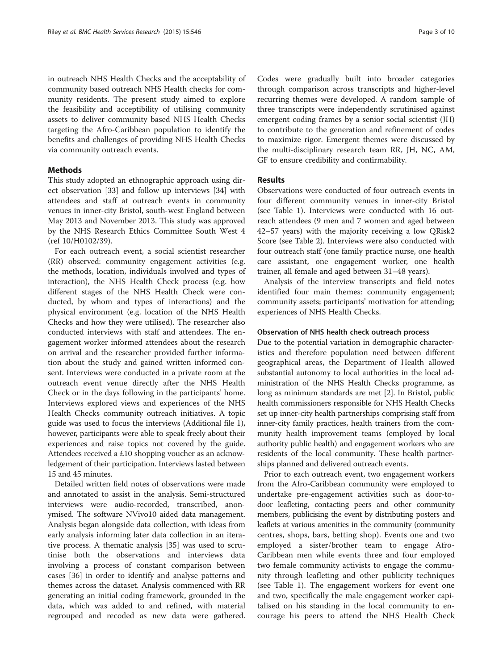in outreach NHS Health Checks and the acceptability of community based outreach NHS Health checks for community residents. The present study aimed to explore the feasibility and acceptibility of utilising community assets to deliver community based NHS Health Checks targeting the Afro-Caribbean population to identify the benefits and challenges of providing NHS Health Checks via community outreach events.

### Methods

This study adopted an ethnographic approach using direct observation [\[33](#page-9-0)] and follow up interviews [[34](#page-9-0)] with attendees and staff at outreach events in community venues in inner-city Bristol, south-west England between May 2013 and November 2013. This study was approved by the NHS Research Ethics Committee South West 4 (ref 10/H0102/39).

For each outreach event, a social scientist researcher (RR) observed: community engagement activities (e.g. the methods, location, individuals involved and types of interaction), the NHS Health Check process (e.g. how different stages of the NHS Health Check were conducted, by whom and types of interactions) and the physical environment (e.g. location of the NHS Health Checks and how they were utilised). The researcher also conducted interviews with staff and attendees. The engagement worker informed attendees about the research on arrival and the researcher provided further information about the study and gained written informed consent. Interviews were conducted in a private room at the outreach event venue directly after the NHS Health Check or in the days following in the participants' home. Interviews explored views and experiences of the NHS Health Checks community outreach initiatives. A topic guide was used to focus the interviews (Additional file [1](#page-8-0)), however, participants were able to speak freely about their experiences and raise topics not covered by the guide. Attendees received a £10 shopping voucher as an acknowledgement of their participation. Interviews lasted between 15 and 45 minutes.

Detailed written field notes of observations were made and annotated to assist in the analysis. Semi-structured interviews were audio-recorded, transcribed, anonymised. The software NVivo10 aided data management. Analysis began alongside data collection, with ideas from early analysis informing later data collection in an iterative process. A thematic analysis [[35](#page-9-0)] was used to scrutinise both the observations and interviews data involving a process of constant comparison between cases [[36](#page-9-0)] in order to identify and analyse patterns and themes across the dataset. Analysis commenced with RR generating an initial coding framework, grounded in the data, which was added to and refined, with material regrouped and recoded as new data were gathered. Codes were gradually built into broader categories through comparison across transcripts and higher-level recurring themes were developed. A random sample of three transcripts were independently scrutinised against emergent coding frames by a senior social scientist (JH) to contribute to the generation and refinement of codes to maximize rigor. Emergent themes were discussed by the multi-disciplinary research team RR, JH, NC, AM, GF to ensure credibility and confirmability.

#### Results

Observations were conducted of four outreach events in four different community venues in inner-city Bristol (see Table [1](#page-3-0)). Interviews were conducted with 16 outreach attendees (9 men and 7 women and aged between 42–57 years) with the majority receiving a low QRisk2 Score (see Table [2](#page-4-0)). Interviews were also conducted with four outreach staff (one family practice nurse, one health care assistant, one engagement worker, one health trainer, all female and aged between 31–48 years).

Analysis of the interview transcripts and field notes identified four main themes: community engagement; community assets; participants' motivation for attending; experiences of NHS Health Checks.

#### Observation of NHS health check outreach process

Due to the potential variation in demographic characteristics and therefore population need between different geographical areas, the Department of Health allowed substantial autonomy to local authorities in the local administration of the NHS Health Checks programme, as long as minimum standards are met [[2\]](#page-9-0). In Bristol, public health commissioners responsible for NHS Health Checks set up inner-city health partnerships comprising staff from inner-city family practices, health trainers from the community health improvement teams (employed by local authority public health) and engagement workers who are residents of the local community. These health partnerships planned and delivered outreach events.

Prior to each outreach event, two engagement workers from the Afro-Caribbean community were employed to undertake pre-engagement activities such as door-todoor leafleting, contacting peers and other community members, publicising the event by distributing posters and leaflets at various amenities in the community (community centres, shops, bars, betting shop). Events one and two employed a sister/brother team to engage Afro-Caribbean men while events three and four employed two female community activists to engage the community through leafleting and other publicity techniques (see Table [1\)](#page-3-0). The engagement workers for event one and two, specifically the male engagement worker capitalised on his standing in the local community to encourage his peers to attend the NHS Health Check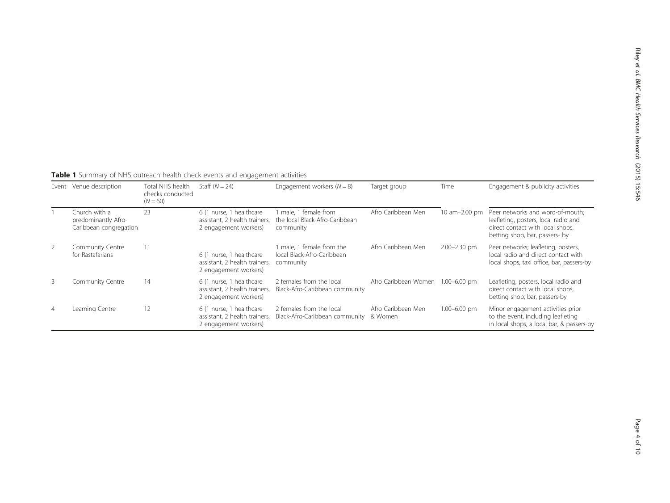<span id="page-3-0"></span>Table 1 Summary of NHS outreach health check events and engagement activities

| Event          | Venue description                                              | Total NHS health<br>checks conducted<br>$(N = 60)$ | Staff $(N = 24)$                                                                   | Engagement workers $(N = 8)$                                         | Target group                  | Time             | Engagement & publicity activities                                                                                                              |
|----------------|----------------------------------------------------------------|----------------------------------------------------|------------------------------------------------------------------------------------|----------------------------------------------------------------------|-------------------------------|------------------|------------------------------------------------------------------------------------------------------------------------------------------------|
|                | Church with a<br>predominantly Afro-<br>Caribbean congregation | 23                                                 | 6 (1 nurse, 1 healthcare<br>assistant, 2 health trainers,<br>2 engagement workers) | 1 male. 1 female from<br>the local Black-Afro-Caribbean<br>community | Afro Caribbean Men            | 10 am-2.00 pm    | Peer networks and word-of-mouth;<br>leafleting, posters, local radio and<br>direct contact with local shops,<br>betting shop, bar, passers- by |
| $\mathcal{L}$  | Community Centre<br>for Rastafarians                           | 11                                                 | 6 (1 nurse, 1 healthcare<br>assistant, 2 health trainers,<br>2 engagement workers) | I male, 1 female from the<br>local Black-Afro-Caribbean<br>community | Afro Caribbean Men            | 2.00-2.30 pm     | Peer networks; leafleting, posters,<br>local radio and direct contact with<br>local shops, taxi office, bar, passers-by                        |
| 3              | Community Centre                                               | 14                                                 | 6 (1 nurse, 1 healthcare<br>assistant, 2 health trainers,<br>2 engagement workers) | 2 females from the local<br>Black-Afro-Caribbean community           | Afro Caribbean Women          | $1.00 - 6.00$ pm | Leafleting, posters, local radio and<br>direct contact with local shops,<br>betting shop, bar, passers-by                                      |
| $\overline{4}$ | Learning Centre                                                | 12                                                 | 6 (1 nurse, 1 healthcare<br>assistant, 2 health trainers,<br>2 engagement workers) | 2 females from the local<br>Black-Afro-Caribbean community           | Afro Caribbean Men<br>& Women | 1.00-6.00 pm     | Minor engagement activities prior<br>to the event, including leafleting<br>in local shops, a local bar, & passers-by                           |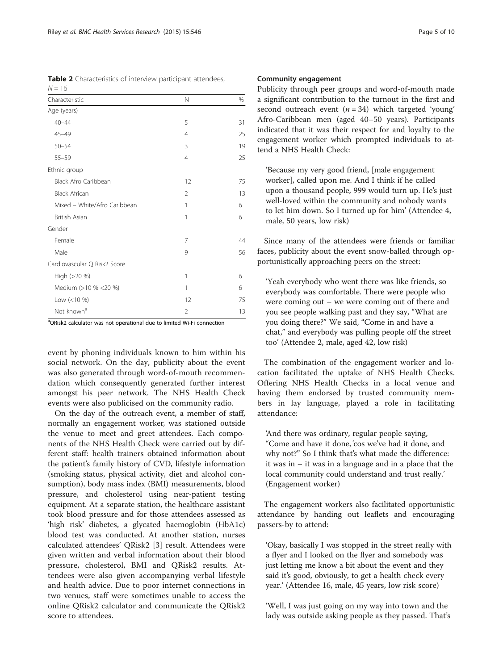<sup>a</sup>QRisk2 calculator was not operational due to limited Wi-Fi connection

Medium (>10 % <20 %) 1 6 Low (<10 %) 12 75 Not known<sup>a</sup> 2 13

event by phoning individuals known to him within his social network. On the day, publicity about the event was also generated through word-of-mouth recommendation which consequently generated further interest amongst his peer network. The NHS Health Check events were also publicised on the community radio.

On the day of the outreach event, a member of staff, normally an engagement worker, was stationed outside the venue to meet and greet attendees. Each components of the NHS Health Check were carried out by different staff: health trainers obtained information about the patient's family history of CVD, lifestyle information (smoking status, physical activity, diet and alcohol consumption), body mass index (BMI) measurements, blood pressure, and cholesterol using near-patient testing equipment. At a separate station, the healthcare assistant took blood pressure and for those attendees assessed as 'high risk' diabetes, a glycated haemoglobin (HbA1c) blood test was conducted. At another station, nurses calculated attendees' QRisk2 [\[3](#page-9-0)] result. Attendees were given written and verbal information about their blood pressure, cholesterol, BMI and QRisk2 results. Attendees were also given accompanying verbal lifestyle and health advice. Due to poor internet connections in two venues, staff were sometimes unable to access the online QRisk2 calculator and communicate the QRisk2 score to attendees.

Community engagement

Publicity through peer groups and word-of-mouth made a significant contribution to the turnout in the first and second outreach event  $(n = 34)$  which targeted 'young' Afro-Caribbean men (aged 40–50 years). Participants indicated that it was their respect for and loyalty to the engagement worker which prompted individuals to attend a NHS Health Check:

'Because my very good friend, [male engagement worker], called upon me. And I think if he called upon a thousand people, 999 would turn up. He's just well-loved within the community and nobody wants to let him down. So I turned up for him' (Attendee 4, male, 50 years, low risk)

Since many of the attendees were friends or familiar faces, publicity about the event snow-balled through opportunistically approaching peers on the street:

'Yeah everybody who went there was like friends, so everybody was comfortable. There were people who were coming out – we were coming out of there and you see people walking past and they say, "What are you doing there?" We said, "Come in and have a chat," and everybody was pulling people off the street too' (Attendee 2, male, aged 42, low risk)

The combination of the engagement worker and location facilitated the uptake of NHS Health Checks. Offering NHS Health Checks in a local venue and having them endorsed by trusted community members in lay language, played a role in facilitating attendance:

'And there was ordinary, regular people saying, "Come and have it done, 'cos we've had it done, and why not?" So I think that's what made the difference: it was in – it was in a language and in a place that the local community could understand and trust really.' (Engagement worker)

The engagement workers also facilitated opportunistic attendance by handing out leaflets and encouraging passers-by to attend:

'Okay, basically I was stopped in the street really with a flyer and I looked on the flyer and somebody was just letting me know a bit about the event and they said it's good, obviously, to get a health check every year.' (Attendee 16, male, 45 years, low risk score)

'Well, I was just going on my way into town and the lady was outside asking people as they passed. That's

<span id="page-4-0"></span>

| <b>Table 2</b> Characteristics of interview participant attendees, |  |  |
|--------------------------------------------------------------------|--|--|
| $N = 16$                                                           |  |  |

| $N = 16$                     |                |    |  |  |  |
|------------------------------|----------------|----|--|--|--|
| Characteristic               | Ν              | %  |  |  |  |
| Age (years)                  |                |    |  |  |  |
| $40 - 44$                    | 5              | 31 |  |  |  |
| $45 - 49$                    | $\overline{4}$ | 25 |  |  |  |
| $50 - 54$                    | 3              | 19 |  |  |  |
| $55 - 59$                    | $\overline{4}$ | 25 |  |  |  |
| Ethnic group                 |                |    |  |  |  |
| Black Afro Caribbean         | 12             | 75 |  |  |  |
| <b>Black African</b>         | $\mathcal{P}$  | 13 |  |  |  |
| Mixed - White/Afro Caribbean | 1              | 6  |  |  |  |
| British Asian                | 1              | 6  |  |  |  |
| Gender                       |                |    |  |  |  |
| Female                       | 7              | 44 |  |  |  |
| Male                         | 9              | 56 |  |  |  |
| Cardiovascular Q Risk2 Score |                |    |  |  |  |
| High (>20 %)                 | 1              | 6  |  |  |  |
|                              |                |    |  |  |  |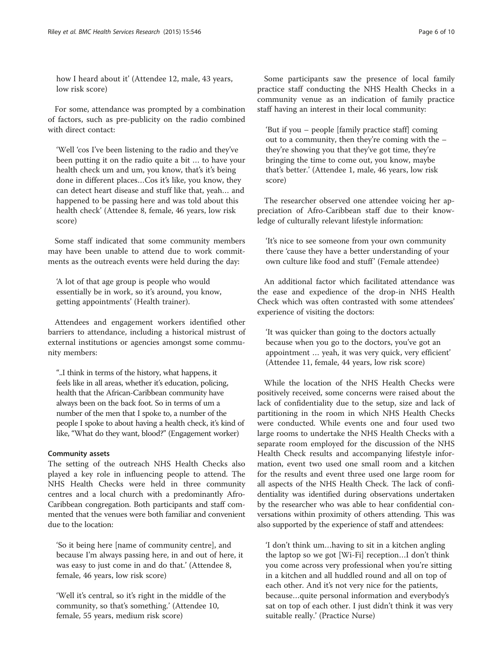how I heard about it' (Attendee 12, male, 43 years, low risk score)

For some, attendance was prompted by a combination of factors, such as pre-publicity on the radio combined with direct contact:

'Well 'cos I've been listening to the radio and they've been putting it on the radio quite a bit … to have your health check um and um, you know, that's it's being done in different places…Cos it's like, you know, they can detect heart disease and stuff like that, yeah… and happened to be passing here and was told about this health check' (Attendee 8, female, 46 years, low risk score)

Some staff indicated that some community members may have been unable to attend due to work commitments as the outreach events were held during the day:

'A lot of that age group is people who would essentially be in work, so it's around, you know, getting appointments' (Health trainer).

Attendees and engagement workers identified other barriers to attendance, including a historical mistrust of external institutions or agencies amongst some community members:

"..I think in terms of the history, what happens, it feels like in all areas, whether it's education, policing, health that the African-Caribbean community have always been on the back foot. So in terms of um a number of the men that I spoke to, a number of the people I spoke to about having a health check, it's kind of like, "What do they want, blood?" (Engagement worker)

#### Community assets

The setting of the outreach NHS Health Checks also played a key role in influencing people to attend. The NHS Health Checks were held in three community centres and a local church with a predominantly Afro-Caribbean congregation. Both participants and staff commented that the venues were both familiar and convenient due to the location:

'So it being here [name of community centre], and because I'm always passing here, in and out of here, it was easy to just come in and do that.' (Attendee 8, female, 46 years, low risk score)

'Well it's central, so it's right in the middle of the community, so that's something.' (Attendee 10, female, 55 years, medium risk score)

Some participants saw the presence of local family practice staff conducting the NHS Health Checks in a community venue as an indication of family practice staff having an interest in their local community:

'But if you – people [family practice staff] coming out to a community, then they're coming with the – they're showing you that they've got time, they're bringing the time to come out, you know, maybe that's better.' (Attendee 1, male, 46 years, low risk score)

The researcher observed one attendee voicing her appreciation of Afro-Caribbean staff due to their knowledge of culturally relevant lifestyle information:

'It's nice to see someone from your own community there 'cause they have a better understanding of your own culture like food and stuff' (Female attendee)

An additional factor which facilitated attendance was the ease and expedience of the drop-in NHS Health Check which was often contrasted with some attendees' experience of visiting the doctors:

'It was quicker than going to the doctors actually because when you go to the doctors, you've got an appointment … yeah, it was very quick, very efficient' (Attendee 11, female, 44 years, low risk score)

While the location of the NHS Health Checks were positively received, some concerns were raised about the lack of confidentiality due to the setup, size and lack of partitioning in the room in which NHS Health Checks were conducted. While events one and four used two large rooms to undertake the NHS Health Checks with a separate room employed for the discussion of the NHS Health Check results and accompanying lifestyle information, event two used one small room and a kitchen for the results and event three used one large room for all aspects of the NHS Health Check. The lack of confidentiality was identified during observations undertaken by the researcher who was able to hear confidential conversations within proximity of others attending. This was also supported by the experience of staff and attendees:

'I don't think um…having to sit in a kitchen angling the laptop so we got [Wi-Fi] reception…I don't think you come across very professional when you're sitting in a kitchen and all huddled round and all on top of each other. And it's not very nice for the patients, because…quite personal information and everybody's sat on top of each other. I just didn't think it was very suitable really.' (Practice Nurse)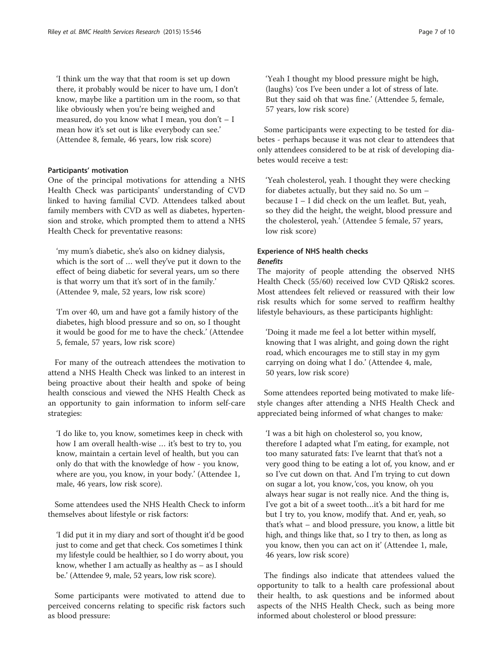'I think um the way that that room is set up down there, it probably would be nicer to have um, I don't know, maybe like a partition um in the room, so that like obviously when you're being weighed and measured, do you know what I mean, you don't – I mean how it's set out is like everybody can see.' (Attendee 8, female, 46 years, low risk score)

#### Participants' motivation

One of the principal motivations for attending a NHS Health Check was participants' understanding of CVD linked to having familial CVD. Attendees talked about family members with CVD as well as diabetes, hypertension and stroke, which prompted them to attend a NHS Health Check for preventative reasons:

'my mum's diabetic, she's also on kidney dialysis, which is the sort of … well they've put it down to the effect of being diabetic for several years, um so there is that worry um that it's sort of in the family.' (Attendee 9, male, 52 years, low risk score)

'I'm over 40, um and have got a family history of the diabetes, high blood pressure and so on, so I thought it would be good for me to have the check.' (Attendee 5, female, 57 years, low risk score)

For many of the outreach attendees the motivation to attend a NHS Health Check was linked to an interest in being proactive about their health and spoke of being health conscious and viewed the NHS Health Check as an opportunity to gain information to inform self-care strategies:

'I do like to, you know, sometimes keep in check with how I am overall health-wise … it's best to try to, you know, maintain a certain level of health, but you can only do that with the knowledge of how - you know, where are you, you know, in your body.' (Attendee 1, male, 46 years, low risk score).

Some attendees used the NHS Health Check to inform themselves about lifestyle or risk factors:

'I did put it in my diary and sort of thought it'd be good just to come and get that check. Cos sometimes I think my lifestyle could be healthier, so I do worry about, you know, whether I am actually as healthy as  $-$  as I should be.' (Attendee 9, male, 52 years, low risk score).

Some participants were motivated to attend due to perceived concerns relating to specific risk factors such as blood pressure:

'Yeah I thought my blood pressure might be high, (laughs) 'cos I've been under a lot of stress of late. But they said oh that was fine.' (Attendee 5, female, 57 years, low risk score)

Some participants were expecting to be tested for diabetes - perhaps because it was not clear to attendees that only attendees considered to be at risk of developing diabetes would receive a test:

'Yeah cholesterol, yeah. I thought they were checking for diabetes actually, but they said no. So um – because I – I did check on the um leaflet. But, yeah, so they did the height, the weight, blood pressure and the cholesterol, yeah.' (Attendee 5 female, 57 years, low risk score)

#### Experience of NHS health checks **Benefits**

The majority of people attending the observed NHS Health Check (55/60) received low CVD QRisk2 scores. Most attendees felt relieved or reassured with their low risk results which for some served to reaffirm healthy lifestyle behaviours, as these participants highlight:

'Doing it made me feel a lot better within myself, knowing that I was alright, and going down the right road, which encourages me to still stay in my gym carrying on doing what I do.' (Attendee 4, male, 50 years, low risk score)

Some attendees reported being motivated to make lifestyle changes after attending a NHS Health Check and appreciated being informed of what changes to make:

'I was a bit high on cholesterol so, you know, therefore I adapted what I'm eating, for example, not too many saturated fats: I've learnt that that's not a very good thing to be eating a lot of, you know, and er so I've cut down on that. And I'm trying to cut down on sugar a lot, you know, 'cos, you know, oh you always hear sugar is not really nice. And the thing is, I've got a bit of a sweet tooth…it's a bit hard for me but I try to, you know, modify that. And er, yeah, so that's what – and blood pressure, you know, a little bit high, and things like that, so I try to then, as long as you know, then you can act on it' (Attendee 1, male, 46 years, low risk score)

The findings also indicate that attendees valued the opportunity to talk to a health care professional about their health, to ask questions and be informed about aspects of the NHS Health Check, such as being more informed about cholesterol or blood pressure: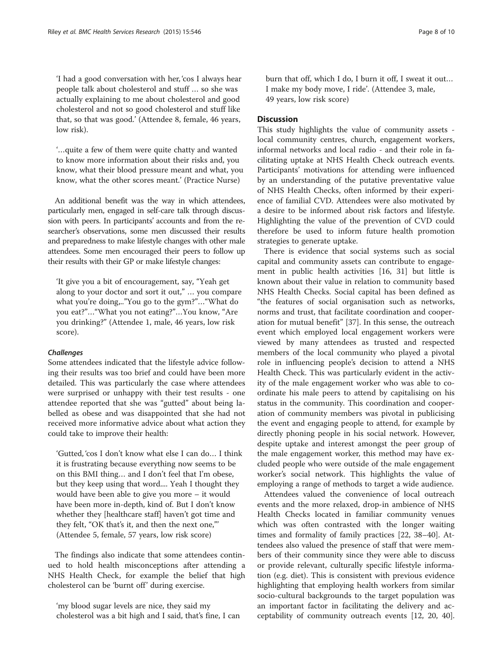'I had a good conversation with her, 'cos I always hear people talk about cholesterol and stuff … so she was actually explaining to me about cholesterol and good cholesterol and not so good cholesterol and stuff like that, so that was good.' (Attendee 8, female, 46 years, low risk).

'…quite a few of them were quite chatty and wanted to know more information about their risks and, you know, what their blood pressure meant and what, you know, what the other scores meant.' (Practice Nurse)

An additional benefit was the way in which attendees, particularly men, engaged in self-care talk through discussion with peers. In participants' accounts and from the researcher's observations, some men discussed their results and preparedness to make lifestyle changes with other male attendees. Some men encouraged their peers to follow up their results with their GP or make lifestyle changes:

'It give you a bit of encouragement, say, "Yeah get along to your doctor and sort it out," … you compare what you're doing,.."You go to the gym?"…"What do you eat?"…"What you not eating?"…You know, "Are you drinking?" (Attendee 1, male, 46 years, low risk score).

Some attendees indicated that the lifestyle advice following their results was too brief and could have been more detailed. This was particularly the case where attendees were surprised or unhappy with their test results - one attendee reported that she was "gutted" about being labelled as obese and was disappointed that she had not received more informative advice about what action they could take to improve their health:

'Gutted, 'cos I don't know what else I can do… I think it is frustrating because everything now seems to be on this BMI thing… and I don't feel that I'm obese, but they keep using that word.... Yeah I thought they would have been able to give you more – it would have been more in-depth, kind of. But I don't know whether they [healthcare staff] haven't got time and they felt, "OK that's it, and then the next one,"' (Attendee 5, female, 57 years, low risk score)

The findings also indicate that some attendees continued to hold health misconceptions after attending a NHS Health Check, for example the belief that high cholesterol can be 'burnt off' during exercise.

'my blood sugar levels are nice, they said my cholesterol was a bit high and I said, that's fine, I can burn that off, which I do, I burn it off, I sweat it out… I make my body move, I ride'. (Attendee 3, male, 49 years, low risk score)

#### **Discussion**

This study highlights the value of community assets local community centres, church, engagement workers, informal networks and local radio - and their role in facilitating uptake at NHS Health Check outreach events. Participants' motivations for attending were influenced by an understanding of the putative preventative value of NHS Health Checks, often informed by their experience of familial CVD. Attendees were also motivated by a desire to be informed about risk factors and lifestyle. Highlighting the value of the prevention of CVD could therefore be used to inform future health promotion strategies to generate uptake.

There is evidence that social systems such as social capital and community assets can contribute to engagement in public health activities [[16, 31\]](#page-9-0) but little is known about their value in relation to community based NHS Health Checks. Social capital has been defined as "the features of social organisation such as networks, norms and trust, that facilitate coordination and cooperation for mutual benefit" [\[37](#page-9-0)]. In this sense, the outreach event which employed local engagement workers were viewed by many attendees as trusted and respected members of the local community who played a pivotal role in influencing people's decision to attend a NHS Health Check. This was particularly evident in the activity of the male engagement worker who was able to coordinate his male peers to attend by capitalising on his status in the community. This coordination and cooperation of community members was pivotal in publicising the event and engaging people to attend, for example by directly phoning people in his social network. However, despite uptake and interest amongst the peer group of the male engagement worker, this method may have excluded people who were outside of the male engagement worker's social network. This highlights the value of employing a range of methods to target a wide audience.

Attendees valued the convenience of local outreach events and the more relaxed, drop-in ambience of NHS Health Checks located in familiar community venues which was often contrasted with the longer waiting times and formality of family practices [\[22](#page-9-0), [38](#page-9-0)–[40\]](#page-9-0). Attendees also valued the presence of staff that were members of their community since they were able to discuss or provide relevant, culturally specific lifestyle information (e.g. diet). This is consistent with previous evidence highlighting that employing health workers from similar socio-cultural backgrounds to the target population was an important factor in facilitating the delivery and acceptability of community outreach events [[12, 20, 40](#page-9-0)].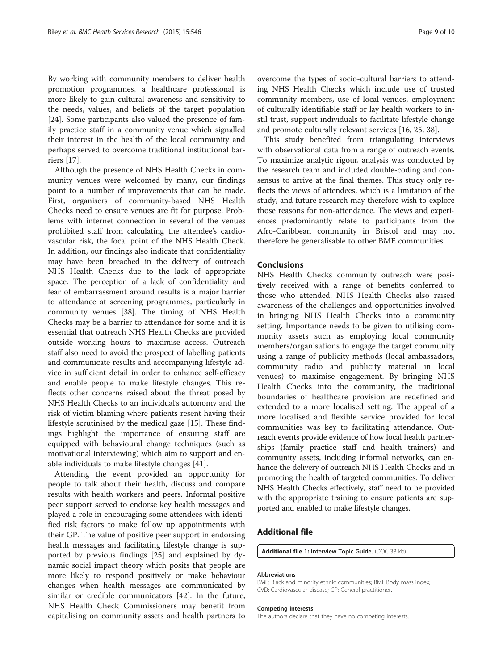<span id="page-8-0"></span>By working with community members to deliver health promotion programmes, a healthcare professional is more likely to gain cultural awareness and sensitivity to the needs, values, and beliefs of the target population [[24\]](#page-9-0). Some participants also valued the presence of family practice staff in a community venue which signalled their interest in the health of the local community and perhaps served to overcome traditional institutional barriers [[17\]](#page-9-0).

Although the presence of NHS Health Checks in community venues were welcomed by many, our findings point to a number of improvements that can be made. First, organisers of community-based NHS Health Checks need to ensure venues are fit for purpose. Problems with internet connection in several of the venues prohibited staff from calculating the attendee's cardiovascular risk, the focal point of the NHS Health Check. In addition, our findings also indicate that confidentiality may have been breached in the delivery of outreach NHS Health Checks due to the lack of appropriate space. The perception of a lack of confidentiality and fear of embarrassment around results is a major barrier to attendance at screening programmes, particularly in community venues [[38](#page-9-0)]. The timing of NHS Health Checks may be a barrier to attendance for some and it is essential that outreach NHS Health Checks are provided outside working hours to maximise access. Outreach staff also need to avoid the prospect of labelling patients and communicate results and accompanying lifestyle advice in sufficient detail in order to enhance self-efficacy and enable people to make lifestyle changes. This reflects other concerns raised about the threat posed by NHS Health Checks to an individual's autonomy and the risk of victim blaming where patients resent having their lifestyle scrutinised by the medical gaze [\[15](#page-9-0)]. These findings highlight the importance of ensuring staff are equipped with behavioural change techniques (such as motivational interviewing) which aim to support and enable individuals to make lifestyle changes [\[41](#page-9-0)].

Attending the event provided an opportunity for people to talk about their health, discuss and compare results with health workers and peers. Informal positive peer support served to endorse key health messages and played a role in encouraging some attendees with identified risk factors to make follow up appointments with their GP. The value of positive peer support in endorsing health messages and facilitating lifestyle change is supported by previous findings [\[25\]](#page-9-0) and explained by dynamic social impact theory which posits that people are more likely to respond positively or make behaviour changes when health messages are communicated by similar or credible communicators [\[42\]](#page-9-0). In the future, NHS Health Check Commissioners may benefit from capitalising on community assets and health partners to

overcome the types of socio-cultural barriers to attending NHS Health Checks which include use of trusted community members, use of local venues, employment of culturally identifiable staff or lay health workers to instil trust, support individuals to facilitate lifestyle change and promote culturally relevant services [\[16](#page-9-0), [25](#page-9-0), [38](#page-9-0)].

This study benefited from triangulating interviews with observational data from a range of outreach events. To maximize analytic rigour, analysis was conducted by the research team and included double-coding and consensus to arrive at the final themes. This study only reflects the views of attendees, which is a limitation of the study, and future research may therefore wish to explore those reasons for non-attendance. The views and experiences predominantly relate to participants from the Afro-Caribbean community in Bristol and may not therefore be generalisable to other BME communities.

#### Conclusions

NHS Health Checks community outreach were positively received with a range of benefits conferred to those who attended. NHS Health Checks also raised awareness of the challenges and opportunities involved in bringing NHS Health Checks into a community setting. Importance needs to be given to utilising community assets such as employing local community members/organisations to engage the target community using a range of publicity methods (local ambassadors, community radio and publicity material in local venues) to maximise engagement. By bringing NHS Health Checks into the community, the traditional boundaries of healthcare provision are redefined and extended to a more localised setting. The appeal of a more localised and flexible service provided for local communities was key to facilitating attendance. Outreach events provide evidence of how local health partnerships (family practice staff and health trainers) and community assets, including informal networks, can enhance the delivery of outreach NHS Health Checks and in promoting the health of targeted communities. To deliver NHS Health Checks effectively, staff need to be provided with the appropriate training to ensure patients are supported and enabled to make lifestyle changes.

#### Additional file

[Additional file 1:](dx.doi.org/10.1186/s12913-015-1209-1) Interview Topic Guide. (DOC 38 kb)

#### Abbreviations

BME: Black and minority ethnic communities; BMI: Body mass index; CVD: Cardiovascular disease; GP: General practitioner.

#### Competing interests

The authors declare that they have no competing interests.